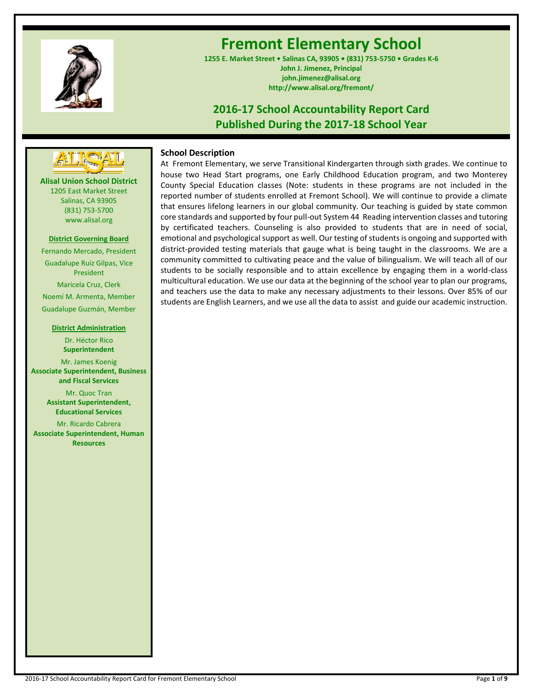

# **Fremont Elementary School**

**1255 E. Market Street • Salinas CA, 93905 • (831) 753-5750 • Grades K-6 John J. Jimenez, Principal john.jimenez@alisal.org http://www.alisal.org/fremont/**

## **2016-17 School Accountability Report Card Published During the 2017-18 School Year**



**Alisal Union School District** 1205 East Market Street Salinas, CA 93905 (831) 753-5700 www.alisal.org

## **District Governing Board**

Fernando Mercado, President Guadalupe Ruiz Gilpas, Vice President Maricela Cruz, Clerk Noemí M. Armenta, Member Guadalupe Guzmán, Member

#### **District Administration**

Dr. Héctor Rico **Superintendent** Mr. James Koenig **Associate Superintendent, Business and Fiscal Services** Mr. Quoc Tran **Assistant Superintendent,** 

Mr. Ricardo Cabrera **Associate Superintendent, Human Resources**

**Educational Services**

## **School Description**

At Fremont Elementary, we serve Transitional Kindergarten through sixth grades. We continue to house two Head Start programs, one Early Childhood Education program, and two Monterey County Special Education classes (Note: students in these programs are not included in the reported number of students enrolled at Fremont School). We will continue to provide a climate that ensures lifelong learners in our global community. Our teaching is guided by state common core standards and supported by four pull-out System 44 Reading intervention classes and tutoring by certificated teachers. Counseling is also provided to students that are in need of social, emotional and psychological support as well. Our testing of students is ongoing and supported with district-provided testing materials that gauge what is being taught in the classrooms. We are a community committed to cultivating peace and the value of bilingualism. We will teach all of our students to be socially responsible and to attain excellence by engaging them in a world-class multicultural education. We use our data at the beginning of the school year to plan our programs, and teachers use the data to make any necessary adjustments to their lessons. Over 85% of our students are English Learners, and we use all the data to assist and guide our academic instruction.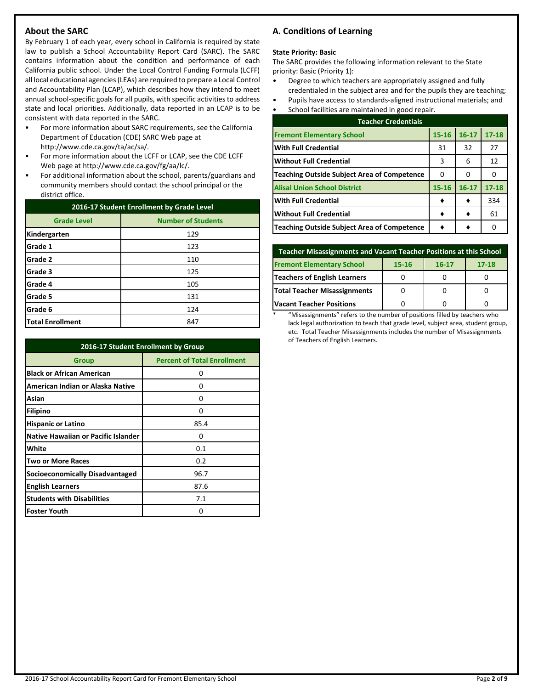## **About the SARC**

By February 1 of each year, every school in California is required by state law to publish a School Accountability Report Card (SARC). The SARC contains information about the condition and performance of each California public school. Under the Local Control Funding Formula (LCFF) all local educational agencies (LEAs) are required to prepare a Local Control and Accountability Plan (LCAP), which describes how they intend to meet annual school-specific goals for all pupils, with specific activities to address state and local priorities. Additionally, data reported in an LCAP is to be consistent with data reported in the SARC.

- For more information about SARC requirements, see the California Department of Education (CDE) SARC Web page at http://www.cde.ca.gov/ta/ac/sa/.
- For more information about the LCFF or LCAP, see the CDE LCFF Web page at http://www.cde.ca.gov/fg/aa/lc/.
- For additional information about the school, parents/guardians and community members should contact the school principal or the district office.

| 2016-17 Student Enrollment by Grade Level |                           |  |  |
|-------------------------------------------|---------------------------|--|--|
| <b>Grade Level</b>                        | <b>Number of Students</b> |  |  |
| Kindergarten                              | 129                       |  |  |
| Grade 1                                   | 123                       |  |  |
| Grade 2                                   | 110                       |  |  |
| Grade 3                                   | 125                       |  |  |
| Grade 4                                   | 105                       |  |  |
| Grade 5                                   | 131                       |  |  |
| Grade 6                                   | 124                       |  |  |
| <b>Total Enrollment</b>                   | 847                       |  |  |

| 2016-17 Student Enrollment by Group        |                                    |  |  |  |
|--------------------------------------------|------------------------------------|--|--|--|
| Group                                      | <b>Percent of Total Enrollment</b> |  |  |  |
| <b>Black or African American</b>           | 0                                  |  |  |  |
| American Indian or Alaska Native           | 0                                  |  |  |  |
| Asian                                      | 0                                  |  |  |  |
| <b>Filipino</b>                            | O                                  |  |  |  |
| <b>Hispanic or Latino</b>                  | 85.4                               |  |  |  |
| <b>Native Hawaiian or Pacific Islander</b> | 0                                  |  |  |  |
| White                                      | 0.1                                |  |  |  |
| <b>Two or More Races</b>                   | 0.2                                |  |  |  |
| Socioeconomically Disadvantaged            | 96.7                               |  |  |  |
| <b>English Learners</b>                    | 87.6                               |  |  |  |
| <b>Students with Disabilities</b>          | 7.1                                |  |  |  |
| <b>Foster Youth</b>                        | O                                  |  |  |  |

## **A. Conditions of Learning**

#### **State Priority: Basic**

The SARC provides the following information relevant to the State priority: Basic (Priority 1):

- Degree to which teachers are appropriately assigned and fully credentialed in the subject area and for the pupils they are teaching;
- Pupils have access to standards-aligned instructional materials; and
- School facilities are maintained in good repair.

| <b>Teacher Credentials</b>                         |           |           |           |  |  |  |
|----------------------------------------------------|-----------|-----------|-----------|--|--|--|
| <b>Fremont Elementary School</b>                   | $15 - 16$ | $16 - 17$ | $17 - 18$ |  |  |  |
| <b>With Full Credential</b>                        | 31        | 32        | 27        |  |  |  |
| <b>Without Full Credential</b>                     | 3         | 6         | 12        |  |  |  |
| Teaching Outside Subject Area of Competence        | 0         | O         |           |  |  |  |
| <b>Alisal Union School District</b>                | $15 - 16$ | $16 - 17$ | $17 - 18$ |  |  |  |
| <b>With Full Credential</b>                        |           |           | 334       |  |  |  |
| <b>Without Full Credential</b>                     |           |           | 61        |  |  |  |
| <b>Teaching Outside Subject Area of Competence</b> |           |           |           |  |  |  |

| <b>Teacher Misassignments and Vacant Teacher Positions at this School</b> |  |  |  |  |  |  |  |
|---------------------------------------------------------------------------|--|--|--|--|--|--|--|
| <b>Fremont Elementary School</b><br>$17 - 18$<br>15-16<br>$16 - 17$       |  |  |  |  |  |  |  |
| <b>Teachers of English Learners</b>                                       |  |  |  |  |  |  |  |
| Total Teacher Misassignments                                              |  |  |  |  |  |  |  |
| <b>Vacant Teacher Positions</b>                                           |  |  |  |  |  |  |  |

\* "Misassignments" refers to the number of positions filled by teachers who lack legal authorization to teach that grade level, subject area, student group, etc. Total Teacher Misassignments includes the number of Misassignments of Teachers of English Learners.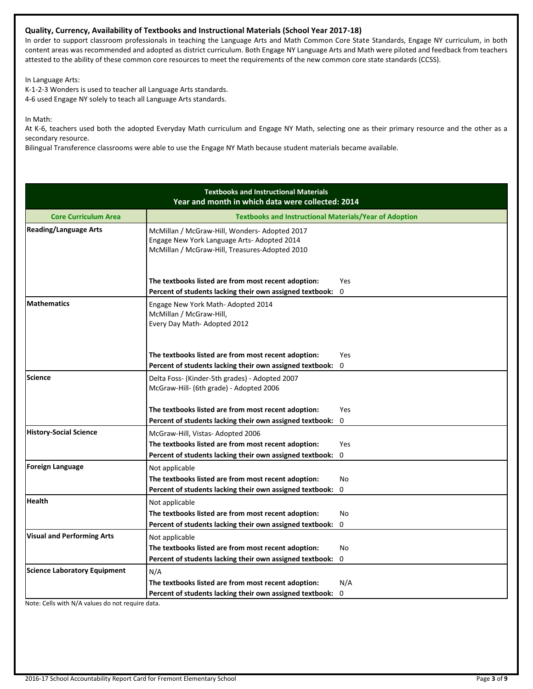## **Quality, Currency, Availability of Textbooks and Instructional Materials (School Year 2017-18)**

In order to support classroom professionals in teaching the Language Arts and Math Common Core State Standards, Engage NY curriculum, in both content areas was recommended and adopted as district curriculum. Both Engage NY Language Arts and Math were piloted and feedback from teachers attested to the ability of these common core resources to meet the requirements of the new common core state standards (CCSS).

In Language Arts:

K-1-2-3 Wonders is used to teacher all Language Arts standards. 4-6 used Engage NY solely to teach all Language Arts standards.

In Math:

At K-6, teachers used both the adopted Everyday Math curriculum and Engage NY Math, selecting one as their primary resource and the other as a secondary resource.

Bilingual Transference classrooms were able to use the Engage NY Math because student materials became available.

|                                     | <b>Textbooks and Instructional Materials</b><br>Year and month in which data were collected: 2014                                              |                            |
|-------------------------------------|------------------------------------------------------------------------------------------------------------------------------------------------|----------------------------|
| <b>Core Curriculum Area</b>         | <b>Textbooks and Instructional Materials/Year of Adoption</b>                                                                                  |                            |
| <b>Reading/Language Arts</b>        | McMillan / McGraw-Hill, Wonders- Adopted 2017<br>Engage New York Language Arts- Adopted 2014<br>McMillan / McGraw-Hill, Treasures-Adopted 2010 |                            |
|                                     | The textbooks listed are from most recent adoption:<br>Percent of students lacking their own assigned textbook:                                | <b>Yes</b><br>$\mathbf{0}$ |
| <b>Mathematics</b>                  | Engage New York Math- Adopted 2014<br>McMillan / McGraw-Hill,<br>Every Day Math-Adopted 2012                                                   |                            |
|                                     | The textbooks listed are from most recent adoption:                                                                                            | <b>Yes</b>                 |
|                                     | Percent of students lacking their own assigned textbook:                                                                                       | 0                          |
| <b>Science</b>                      | Delta Foss- (Kinder-5th grades) - Adopted 2007<br>McGraw-Hill- (6th grade) - Adopted 2006                                                      |                            |
|                                     | The textbooks listed are from most recent adoption:                                                                                            | Yes                        |
|                                     | Percent of students lacking their own assigned textbook:                                                                                       | $\mathbf 0$                |
| <b>History-Social Science</b>       | McGraw-Hill, Vistas-Adopted 2006                                                                                                               |                            |
|                                     | The textbooks listed are from most recent adoption:                                                                                            | <b>Yes</b>                 |
|                                     | Percent of students lacking their own assigned textbook:                                                                                       | $\mathbf 0$                |
| <b>Foreign Language</b>             | Not applicable                                                                                                                                 |                            |
|                                     | The textbooks listed are from most recent adoption:                                                                                            | No                         |
|                                     | Percent of students lacking their own assigned textbook:                                                                                       | $\Omega$                   |
| <b>Health</b>                       | Not applicable                                                                                                                                 |                            |
|                                     | The textbooks listed are from most recent adoption:                                                                                            | No                         |
|                                     | Percent of students lacking their own assigned textbook:                                                                                       | $\mathbf 0$                |
| <b>Visual and Performing Arts</b>   | Not applicable                                                                                                                                 |                            |
|                                     | The textbooks listed are from most recent adoption:                                                                                            | No                         |
|                                     | Percent of students lacking their own assigned textbook:                                                                                       | 0                          |
| <b>Science Laboratory Equipment</b> | N/A                                                                                                                                            |                            |
|                                     | The textbooks listed are from most recent adoption:                                                                                            | N/A                        |
|                                     | Percent of students lacking their own assigned textbook:                                                                                       | 0                          |

Note: Cells with N/A values do not require data.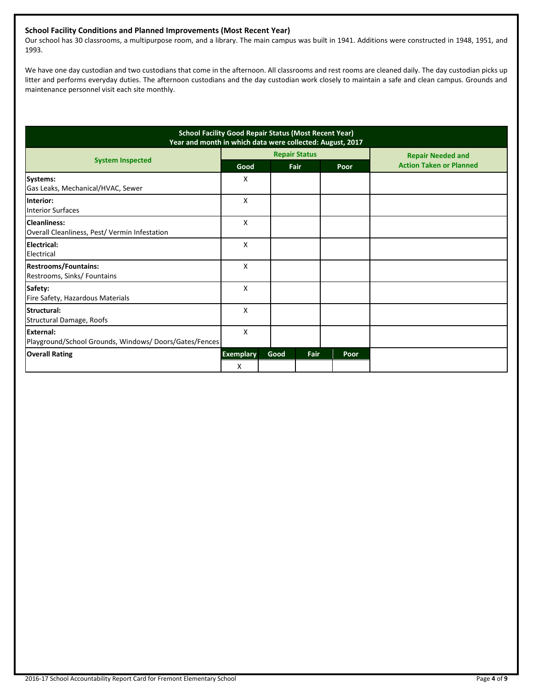## **School Facility Conditions and Planned Improvements (Most Recent Year)**

Our school has 30 classrooms, a multipurpose room, and a library. The main campus was built in 1941. Additions were constructed in 1948, 1951, and 1993.

We have one day custodian and two custodians that come in the afternoon. All classrooms and rest rooms are cleaned daily. The day custodian picks up litter and performs everyday duties. The afternoon custodians and the day custodian work closely to maintain a safe and clean campus. Grounds and maintenance personnel visit each site monthly.

| <b>School Facility Good Repair Status (Most Recent Year)</b><br>Year and month in which data were collected: August, 2017 |                  |      |                      |      |                                |  |
|---------------------------------------------------------------------------------------------------------------------------|------------------|------|----------------------|------|--------------------------------|--|
|                                                                                                                           |                  |      | <b>Repair Status</b> |      | <b>Repair Needed and</b>       |  |
| <b>System Inspected</b>                                                                                                   | Good             |      | Fair                 | Poor | <b>Action Taken or Planned</b> |  |
| Systems:<br>Gas Leaks, Mechanical/HVAC, Sewer                                                                             | X                |      |                      |      |                                |  |
| Interior:<br><b>Interior Surfaces</b>                                                                                     | x                |      |                      |      |                                |  |
| <b>Cleanliness:</b><br>Overall Cleanliness, Pest/Vermin Infestation                                                       | X                |      |                      |      |                                |  |
| Electrical:<br>Electrical                                                                                                 | X                |      |                      |      |                                |  |
| <b>Restrooms/Fountains:</b><br>Restrooms, Sinks/ Fountains                                                                | X                |      |                      |      |                                |  |
| Safety:<br>Fire Safety, Hazardous Materials                                                                               | X                |      |                      |      |                                |  |
| Structural:<br>Structural Damage, Roofs                                                                                   | X                |      |                      |      |                                |  |
| <b>External:</b><br>Playground/School Grounds, Windows/Doors/Gates/Fences                                                 | X                |      |                      |      |                                |  |
| <b>Overall Rating</b>                                                                                                     | <b>Exemplary</b> | Good | Fair                 | Poor |                                |  |
|                                                                                                                           | X                |      |                      |      |                                |  |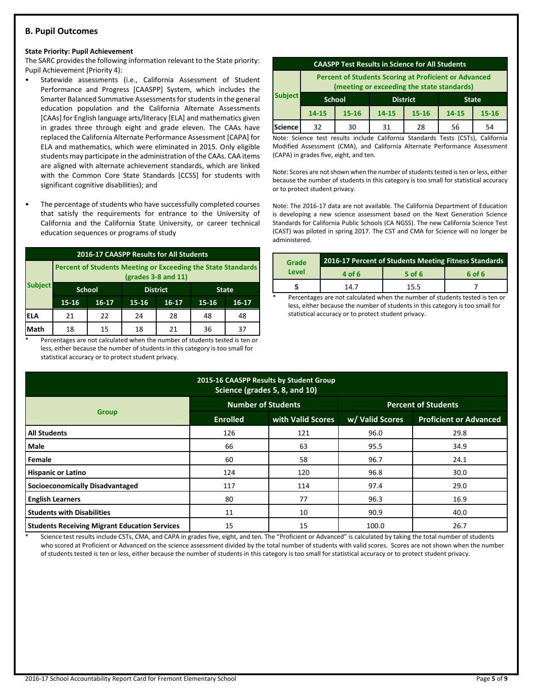## **B. Pupil Outcomes**

#### **State Priority: Pupil Achievement**

The SARC provides the following information relevant to the State priority: Pupil Achievement (Priority 4):

- Statewide assessments (i.e., California Assessment of Student Performance and Progress [CAASPP] System, which includes the Smarter Balanced Summative Assessments for students in the general education population and the California Alternate Assessments [CAAs] for English language arts/literacy [ELA] and mathematics given in grades three through eight and grade eleven. The CAAs have replaced the California Alternate Performance Assessment [CAPA] for ELA and mathematics, which were eliminated in 2015. Only eligible students may participate in the administration of the CAAs. CAA items are aligned with alternate achievement standards, which are linked with the Common Core State Standards [CCSS] for students with significant cognitive disabilities); and
- The percentage of students who have successfully completed courses that satisfy the requirements for entrance to the University of California and the California State University, or career technical education sequences or programs of study

| 2016-17 CAASPP Results for All Students |                                                                                       |               |                 |           |              |           |  |
|-----------------------------------------|---------------------------------------------------------------------------------------|---------------|-----------------|-----------|--------------|-----------|--|
|                                         | Percent of Students Meeting or Exceeding the State Standards<br>$(grades 3-8 and 11)$ |               |                 |           |              |           |  |
| <b>Subject</b>                          |                                                                                       | <b>School</b> | <b>District</b> |           | <b>State</b> |           |  |
|                                         | 15-16                                                                                 | $16 - 17$     | 15-16           | $16 - 17$ | 15-16        | $16 - 17$ |  |
| IELA                                    | 21                                                                                    | 22            | 24              | 28        | 48           | 48        |  |
| Math                                    | 18                                                                                    | 15            | 18              | 21        | 36           | 37        |  |

Percentages are not calculated when the number of students tested is ten or less, either because the number of students in this category is too small for statistical accuracy or to protect student privacy.

| <b>CAASPP Test Results in Science for All Students</b>                                                     |                                                  |           |       |           |       |           |
|------------------------------------------------------------------------------------------------------------|--------------------------------------------------|-----------|-------|-----------|-------|-----------|
| <b>Percent of Students Scoring at Proficient or Advanced</b><br>(meeting or exceeding the state standards) |                                                  |           |       |           |       |           |
| <b>Subject</b>                                                                                             | <b>District</b><br><b>School</b><br><b>State</b> |           |       |           |       |           |
|                                                                                                            | $14 - 15$                                        | $15 - 16$ | 14-15 | $15 - 16$ | 14-15 | $15 - 16$ |
| Science                                                                                                    | 32                                               | 30        | 31    | 28        | 56    | 54        |

Note: Science test results include California Standards Tests (CSTs), California Modified Assessment (CMA), and California Alternate Performance Assessment (CAPA) in grades five, eight, and ten.

Note: Scores are not shown when the number of students tested is ten or less, either because the number of students in this category is too small for statistical accuracy or to protect student privacy.

Note: The 2016-17 data are not available. The California Department of Education is developing a new science assessment based on the Next Generation Science Standards for California Public Schools (CA NGSS). The new California Science Test (CAST) was piloted in spring 2017. The CST and CMA for Science will no longer be administered.

| Grade | 2016-17 Percent of Students Meeting Fitness Standards |          |        |  |  |
|-------|-------------------------------------------------------|----------|--------|--|--|
| Level | 4 of 6                                                | $5$ of 6 | 6 of 6 |  |  |
|       | 14.7                                                  | 15.5     |        |  |  |

Percentages are not calculated when the number of students tested is ten or less, either because the number of students in this category is too small for statistical accuracy or to protect student privacy.

| 2015-16 CAASPP Results by Student Group<br>Science (grades 5, 8, and 10) |                           |                   |                            |                               |  |  |  |
|--------------------------------------------------------------------------|---------------------------|-------------------|----------------------------|-------------------------------|--|--|--|
|                                                                          | <b>Number of Students</b> |                   | <b>Percent of Students</b> |                               |  |  |  |
| <b>Group</b>                                                             | <b>Enrolled</b>           | with Valid Scores | w/ Valid Scores            | <b>Proficient or Advanced</b> |  |  |  |
| <b>All Students</b>                                                      | 126                       | 121               | 96.0                       | 29.8                          |  |  |  |
| <b>Male</b>                                                              | 66                        | 63                | 95.5                       | 34.9                          |  |  |  |
| Female                                                                   | 60                        | 58                | 96.7                       | 24.1                          |  |  |  |
| <b>Hispanic or Latino</b>                                                | 124                       | 120               | 96.8                       | 30.0                          |  |  |  |
| Socioeconomically Disadvantaged                                          | 117                       | 114               | 97.4                       | 29.0                          |  |  |  |
| <b>English Learners</b>                                                  | 80                        | 77                | 96.3                       | 16.9                          |  |  |  |
| <b>Students with Disabilities</b>                                        | 11                        | 10                | 90.9                       | 40.0                          |  |  |  |
| <b>Students Receiving Migrant Education Services</b>                     | 15                        | 15                | 100.0                      | 26.7                          |  |  |  |

Science test results include CSTs, CMA, and CAPA in grades five, eight, and ten. The "Proficient or Advanced" is calculated by taking the total number of students who scored at Proficient or Advanced on the science assessment divided by the total number of students with valid scores. Scores are not shown when the number of students tested is ten or less, either because the number of students in this category is too small for statistical accuracy or to protect student privacy.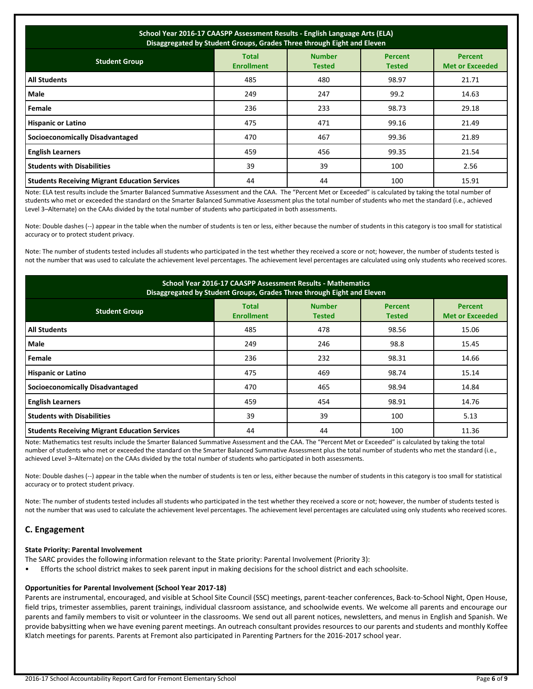| School Year 2016-17 CAASPP Assessment Results - English Language Arts (ELA)<br>Disaggregated by Student Groups, Grades Three through Eight and Eleven |                                   |                                |                                 |                                          |  |  |
|-------------------------------------------------------------------------------------------------------------------------------------------------------|-----------------------------------|--------------------------------|---------------------------------|------------------------------------------|--|--|
| <b>Student Group</b>                                                                                                                                  | <b>Total</b><br><b>Enrollment</b> | <b>Number</b><br><b>Tested</b> | <b>Percent</b><br><b>Tested</b> | <b>Percent</b><br><b>Met or Exceeded</b> |  |  |
| <b>All Students</b>                                                                                                                                   | 485                               | 480                            | 98.97                           | 21.71                                    |  |  |
| <b>Male</b>                                                                                                                                           | 249                               | 247                            | 99.2                            | 14.63                                    |  |  |
| Female                                                                                                                                                | 236                               | 233                            | 98.73                           | 29.18                                    |  |  |
| <b>Hispanic or Latino</b>                                                                                                                             | 475                               | 471                            | 99.16                           | 21.49                                    |  |  |
| <b>Socioeconomically Disadvantaged</b>                                                                                                                | 470                               | 467                            | 99.36                           | 21.89                                    |  |  |
| <b>English Learners</b>                                                                                                                               | 459                               | 456                            | 99.35                           | 21.54                                    |  |  |
| <b>Students with Disabilities</b>                                                                                                                     | 39                                | 39                             | 100                             | 2.56                                     |  |  |
| <b>Students Receiving Migrant Education Services</b>                                                                                                  | 44                                | 44                             | 100                             | 15.91                                    |  |  |

Note: ELA test results include the Smarter Balanced Summative Assessment and the CAA. The "Percent Met or Exceeded" is calculated by taking the total number of students who met or exceeded the standard on the Smarter Balanced Summative Assessment plus the total number of students who met the standard (i.e., achieved Level 3–Alternate) on the CAAs divided by the total number of students who participated in both assessments.

Note: Double dashes (--) appear in the table when the number of students is ten or less, either because the number of students in this category is too small for statistical accuracy or to protect student privacy.

Note: The number of students tested includes all students who participated in the test whether they received a score or not; however, the number of students tested is not the number that was used to calculate the achievement level percentages. The achievement level percentages are calculated using only students who received scores.

| <b>School Year 2016-17 CAASPP Assessment Results - Mathematics</b><br>Disaggregated by Student Groups, Grades Three through Eight and Eleven |                                   |                                |                                 |                                          |  |  |
|----------------------------------------------------------------------------------------------------------------------------------------------|-----------------------------------|--------------------------------|---------------------------------|------------------------------------------|--|--|
| <b>Student Group</b>                                                                                                                         | <b>Total</b><br><b>Enrollment</b> | <b>Number</b><br><b>Tested</b> | <b>Percent</b><br><b>Tested</b> | <b>Percent</b><br><b>Met or Exceeded</b> |  |  |
| <b>All Students</b>                                                                                                                          | 485                               | 478                            | 98.56                           | 15.06                                    |  |  |
| Male                                                                                                                                         | 249                               | 246                            | 98.8                            | 15.45                                    |  |  |
| Female                                                                                                                                       | 236                               | 232                            | 98.31                           | 14.66                                    |  |  |
| <b>Hispanic or Latino</b>                                                                                                                    | 475                               | 469                            | 98.74                           | 15.14                                    |  |  |
| <b>Socioeconomically Disadvantaged</b>                                                                                                       | 470                               | 465                            | 98.94                           | 14.84                                    |  |  |
| <b>English Learners</b>                                                                                                                      | 459                               | 454                            | 98.91                           | 14.76                                    |  |  |
| <b>Students with Disabilities</b>                                                                                                            | 39                                | 39                             | 100                             | 5.13                                     |  |  |
| <b>Students Receiving Migrant Education Services</b>                                                                                         | 44                                | 44                             | 100                             | 11.36                                    |  |  |

Note: Mathematics test results include the Smarter Balanced Summative Assessment and the CAA. The "Percent Met or Exceeded" is calculated by taking the total number of students who met or exceeded the standard on the Smarter Balanced Summative Assessment plus the total number of students who met the standard (i.e., achieved Level 3–Alternate) on the CAAs divided by the total number of students who participated in both assessments.

Note: Double dashes (--) appear in the table when the number of students is ten or less, either because the number of students in this category is too small for statistical accuracy or to protect student privacy.

Note: The number of students tested includes all students who participated in the test whether they received a score or not; however, the number of students tested is not the number that was used to calculate the achievement level percentages. The achievement level percentages are calculated using only students who received scores.

## **C. Engagement**

## **State Priority: Parental Involvement**

- The SARC provides the following information relevant to the State priority: Parental Involvement (Priority 3):
- Efforts the school district makes to seek parent input in making decisions for the school district and each schoolsite.

#### **Opportunities for Parental Involvement (School Year 2017-18)**

Parents are instrumental, encouraged, and visible at School Site Council (SSC) meetings, parent-teacher conferences, Back-to-School Night, Open House, field trips, trimester assemblies, parent trainings, individual classroom assistance, and schoolwide events. We welcome all parents and encourage our parents and family members to visit or volunteer in the classrooms. We send out all parent notices, newsletters, and menus in English and Spanish. We provide babysitting when we have evening parent meetings. An outreach consultant provides resources to our parents and students and monthly Koffee Klatch meetings for parents. Parents at Fremont also participated in Parenting Partners for the 2016-2017 school year.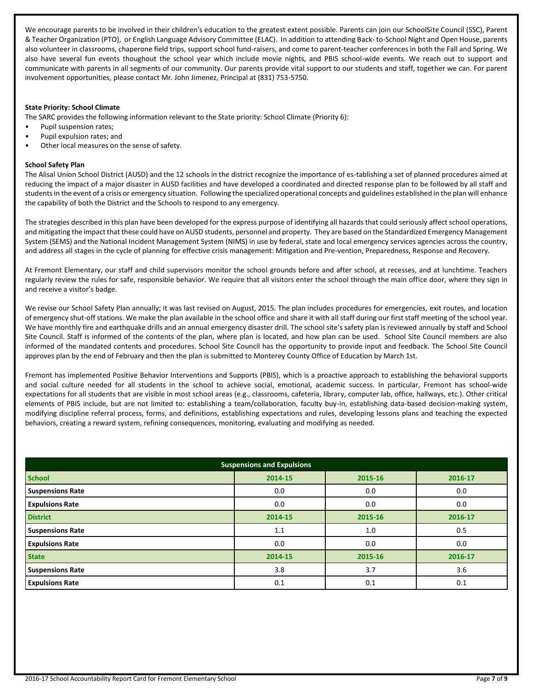We encourage parents to be involved in their children's education to the greatest extent possible. Parents can join our SchoolSite Council (SSC), Parent & Teacher Organization (PTO), or English Language Advisory Committee (ELAC). In addition to attending Back- to-School Night and Open House, parents also volunteer in classrooms, chaperone field trips, support school fund-raisers, and come to parent-teacher conferences in both the Fall and Spring. We also have several fun events thoughout the school year which include movie nights, and PBIS school-wide events. We reach out to support and communicate with parents in all segments of our community. Our parents provide vital support to our students and staff, together we can. For parent involvement opportunities, please contact Mr. John Jimenez, Principal at (831) 753-5750.

#### **State Priority: School Climate**

The SARC provides the following information relevant to the State priority: School Climate (Priority 6):

- Pupil suspension rates;
- Pupil expulsion rates; and
- Other local measures on the sense of safety.

#### **School Safety Plan**

The Alisal Union School District (AUSD) and the 12 schools in the district recognize the importance of es-tablishing a set of planned procedures aimed at reducing the impact of a major disaster in AUSD facilities and have developed a coordinated and directed response plan to be followed by all staff and students in the event of a crisis or emergency situation. Following the specialized operational concepts and guidelines established in the plan will enhance the capability of both the District and the Schools to respond to any emergency.

The strategies described in this plan have been developed for the express purpose of identifying all hazards that could seriously affect school operations, and mitigating the impact that these could have on AUSD students, personnel and property. They are based on the Standardized Emergency Management System (SEMS) and the National Incident Management System (NIMS) in use by federal, state and local emergency services agencies across the country, and address all stages in the cycle of planning for effective crisis management: Mitigation and Pre-vention, Preparedness, Response and Recovery.

At Fremont Elementary, our staff and child supervisors monitor the school grounds before and after school, at recesses, and at lunchtime. Teachers regularly review the rules for safe, responsible behavior. We require that all visitors enter the school through the main office door, where they sign in and receive a visitor's badge.

We revise our School Safety Plan annually; it was last revised on August, 2015. The plan includes procedures for emergencies, exit routes, and location of emergency shut-off stations. We make the plan available in the school office and share it with all staff during our first staff meeting of the school year. We have monthly fire and earthquake drills and an annual emergency disaster drill. The school site's safety plan is reviewed annually by staff and School Site Council. Staff is informed of the contents of the plan, where plan is located, and how plan can be used. School Site Council members are also informed of the mandated contents and procedures. School Site Council has the opportunity to provide input and feedback. The School Site Council approves plan by the end of February and then the plan is submitted to Monterey County Office of Education by March 1st.

Fremont has implemented Positive Behavior Interventions and Supports (PBIS), which is a proactive approach to establishing the behavioral supports and social culture needed for all students in the school to achieve social, emotional, academic success. In particular, Fremont has school-wide expectations for all students that are visible in most school areas (e.g., classrooms, cafeteria, library, computer lab, office, hallways, etc.). Other critical elements of PBIS include, but are not limited to: establishing a team/collaboration, faculty buy-in, establishing data-based decision-making system, modifying discipline referral process, forms, and definitions, establishing expectations and rules, developing lessons plans and teaching the expected behaviors, creating a reward system, refining consequences, monitoring, evaluating and modifying as needed.

| <b>Suspensions and Expulsions</b> |         |         |         |  |  |  |
|-----------------------------------|---------|---------|---------|--|--|--|
| <b>School</b>                     | 2014-15 | 2015-16 | 2016-17 |  |  |  |
| <b>Suspensions Rate</b>           | 0.0     | 0.0     | 0.0     |  |  |  |
| <b>Expulsions Rate</b>            | 0.0     | 0.0     | 0.0     |  |  |  |
| <b>District</b>                   | 2014-15 | 2015-16 | 2016-17 |  |  |  |
| <b>Suspensions Rate</b>           | 1.1     | 1.0     | 0.5     |  |  |  |
| <b>Expulsions Rate</b>            | 0.0     | 0.0     | 0.0     |  |  |  |
| <b>State</b>                      | 2014-15 | 2015-16 | 2016-17 |  |  |  |
| <b>Suspensions Rate</b>           | 3.8     | 3.7     | 3.6     |  |  |  |
| <b>Expulsions Rate</b>            | 0.1     | 0.1     | 0.1     |  |  |  |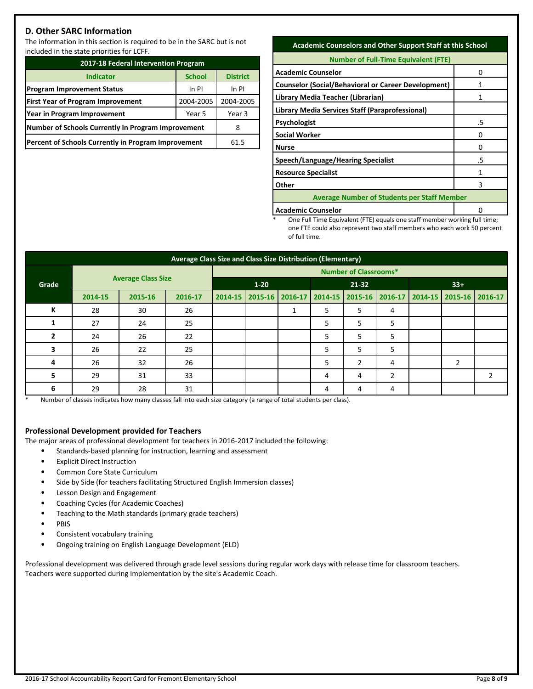## **D. Other SARC Information**

The information in this section is required to be in the SARC but is not included in the state priorities for LCFF.

| 2017-18 Federal Intervention Program                |               |                 |  |  |  |
|-----------------------------------------------------|---------------|-----------------|--|--|--|
| <b>Indicator</b>                                    | <b>School</b> | <b>District</b> |  |  |  |
| <b>Program Improvement Status</b>                   | In PI         |                 |  |  |  |
| <b>First Year of Program Improvement</b>            | 2004-2005     |                 |  |  |  |
| Year in Program Improvement                         | Year 3        |                 |  |  |  |
| Number of Schools Currently in Program Improvement  | 8             |                 |  |  |  |
| Percent of Schools Currently in Program Improvement | 61.5          |                 |  |  |  |

## **Academic Counselors and Other Support Staff at this School**

| <b>Number of Full-Time Equivalent (FTE)</b>                |    |  |  |  |
|------------------------------------------------------------|----|--|--|--|
| <b>Academic Counselor</b>                                  | Ω  |  |  |  |
| <b>Counselor (Social/Behavioral or Career Development)</b> |    |  |  |  |
| Library Media Teacher (Librarian)                          |    |  |  |  |
| Library Media Services Staff (Paraprofessional)            |    |  |  |  |
| <b>Psychologist</b>                                        | .5 |  |  |  |
| <b>Social Worker</b>                                       | Ω  |  |  |  |
| <b>Nurse</b>                                               | Ω  |  |  |  |
| Speech/Language/Hearing Specialist                         | .5 |  |  |  |
| <b>Resource Specialist</b>                                 | 1  |  |  |  |
| Other                                                      | 3  |  |  |  |
| <b>Average Number of Students per Staff Member</b>         |    |  |  |  |
|                                                            |    |  |  |  |

**Academic Counselor** 0

One Full Time Equivalent (FTE) equals one staff member working full time; one FTE could also represent two staff members who each work 50 percent of full time.

| Average Class Size and Class Size Distribution (Elementary) |         |                           |                              |          |  |           |                                                                         |       |   |  |   |   |
|-------------------------------------------------------------|---------|---------------------------|------------------------------|----------|--|-----------|-------------------------------------------------------------------------|-------|---|--|---|---|
|                                                             |         |                           | <b>Number of Classrooms*</b> |          |  |           |                                                                         |       |   |  |   |   |
| Grade                                                       |         | <b>Average Class Size</b> |                              | $1 - 20$ |  | $21 - 32$ |                                                                         | $33+$ |   |  |   |   |
|                                                             | 2014-15 | 2015-16                   | 2016-17                      |          |  |           | 2014-15 2015-16 2016-17 2014-15 2015-16 2016-17 2014-15 2015-16 2016-17 |       |   |  |   |   |
| К                                                           | 28      | 30                        | 26                           |          |  | Ŧ         | 5                                                                       | 5     | 4 |  |   |   |
|                                                             | 27      | 24                        | 25                           |          |  |           | 5                                                                       | 5     | 5 |  |   |   |
| 2                                                           | 24      | 26                        | 22                           |          |  |           | 5                                                                       | 5     | 5 |  |   |   |
| 3                                                           | 26      | 22                        | 25                           |          |  |           | 5                                                                       | 5     | 5 |  |   |   |
| 4                                                           | 26      | 32                        | 26                           |          |  |           | 5                                                                       | 2     | 4 |  | 2 |   |
| 5                                                           | 29      | 31                        | 33                           |          |  |           | 4                                                                       | 4     | 2 |  |   | 2 |
| 6                                                           | 29      | 28                        | 31                           |          |  |           | 4                                                                       | 4     | 4 |  |   |   |

\* Number of classes indicates how many classes fall into each size category (a range of total students per class).

## **Professional Development provided for Teachers**

The major areas of professional development for teachers in 2016-2017 included the following:

- Standards-based planning for instruction, learning and assessment
- Explicit Direct Instruction
- Common Core State Curriculum
- Side by Side (for teachers facilitating Structured English Immersion classes)
- Lesson Design and Engagement
- Coaching Cycles (for Academic Coaches)
- Teaching to the Math standards (primary grade teachers)
- PBIS
- Consistent vocabulary training
- Ongoing training on English Language Development (ELD)

Professional development was delivered through grade level sessions during regular work days with release time for classroom teachers. Teachers were supported during implementation by the site's Academic Coach.